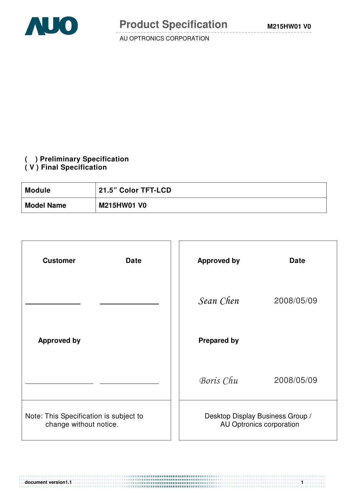

## **( ) Preliminary Specification**

#### **( V ) Final Specification**

| <b>Module</b>     | 21.5" Color TFT-LCD ' |
|-------------------|-----------------------|
| <b>Model Name</b> | <b>M215HW01 V0</b>    |

| <b>Customer</b><br><b>Date</b>                                   | <b>Approved by</b><br><b>Date</b>                            |
|------------------------------------------------------------------|--------------------------------------------------------------|
|                                                                  | Sean Chen<br>2008/05/09                                      |
| <b>Approved by</b>                                               | <b>Prepared by</b>                                           |
|                                                                  | Boris Chu<br>2008/05/09                                      |
| Note: This Specification is subject to<br>change without notice. | Desktop Display Business Group /<br>AU Optronics corporation |

**document version1.1 1**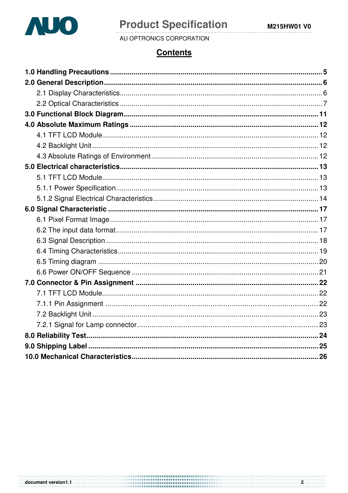

document version1.1

# **Product Specification**

AU OPTRONICS CORPORATION

## **Contents**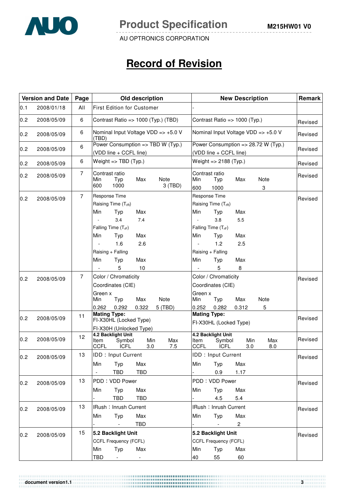

# **Record of Revision**

|     | <b>Version and Date</b> | Page           | Old description<br><b>New Description</b>                                                                                                                                                                                                                                                                                                                                                                                                | Remark  |
|-----|-------------------------|----------------|------------------------------------------------------------------------------------------------------------------------------------------------------------------------------------------------------------------------------------------------------------------------------------------------------------------------------------------------------------------------------------------------------------------------------------------|---------|
| 0.1 | 2008/01/18              | All            | <b>First Edition for Customer</b>                                                                                                                                                                                                                                                                                                                                                                                                        |         |
| 0.2 | 2008/05/09              | 6              | Contrast Ratio => 1000 (Typ.) (TBD)<br>Contrast Ratio => 1000 (Typ.)                                                                                                                                                                                                                                                                                                                                                                     | Revised |
| 0.2 | 2008/05/09              | 6              | Nominal Input Voltage VDD => +5.0 V<br>Nominal Input Voltage VDD => +5.0 V<br>(TBD)                                                                                                                                                                                                                                                                                                                                                      | Revised |
| 0.2 | 2008/05/09              | 6              | Power Consumption => TBD W (Typ.)<br>Power Consumption => 28.72 W (Typ.)<br>(VDD line + CCFL line)<br>(VDD line + CCFL line)                                                                                                                                                                                                                                                                                                             | Revised |
| 0.2 | 2008/05/09              | 6              | Weight $\Rightarrow$ TBD (Typ.)<br>Weight => 2188 (Typ.)                                                                                                                                                                                                                                                                                                                                                                                 | Revised |
| 0.2 | 2008/05/09              | $\overline{7}$ | Contrast ratio<br>Contrast ratio<br>Max<br>Note<br>Max<br>Note<br>Min<br>Typ<br>Min<br>Typ<br>600<br>1000<br>$3$ (TBD)<br>600<br>3<br>1000                                                                                                                                                                                                                                                                                               | Revised |
| 0.2 | 2008/05/09              | $\overline{7}$ | Response Time<br>Response Time<br>Raising Time (T <sub>rR</sub> )<br>Raising Time (T <sub>rR</sub> )<br>Min<br>Max<br>Min<br>Typ<br>Typ<br>Max<br>3.4<br>7.4<br>3.8<br>5.5<br>Falling Time (T <sub>rF</sub> )<br>Falling Time $(T_{\text{rF}})$<br>Max<br>Min<br>Typ<br>Min<br>Max<br>Typ<br>1.2<br>1.6<br>2.6<br>2.5<br>$\sim$<br>Raising + Falling<br>Raising + Falling<br>Max<br>Min<br>Typ<br>Min<br>Typ<br>Max<br>5<br>10<br>5<br>8 | Revised |
| 0.2 | 2008/05/09              | $\overline{7}$ | Color / Chromaticity<br>Color / Chromaticity<br>Coordinates (CIE)<br>Coordinates (CIE)<br>Green x<br>Green x<br>Max<br>Note<br>Max<br>Note<br>Min<br>Typ<br>Min<br>Typ<br>0.292<br>0.252<br>0.282<br>5<br>0.262<br>0.322<br>5 (TBD)<br>0.312                                                                                                                                                                                             | Revised |
| 0.2 | 2008/05/09              | 11             | <b>Mating Type:</b><br><b>Mating Type:</b><br>FI-X30HL (Locked Type)<br>FI-X30HL (Locked Type)<br>FI-X30H (Unlocked Type)                                                                                                                                                                                                                                                                                                                | Revised |
| 0.2 | 2008/05/09              | 12             | 4.2 Backlight Unit<br>4.2 Backlight Unit<br>Min<br>Max<br>Min<br>Max<br>Symbol<br>Item<br>Symbol<br>ltem<br><b>CCFL</b><br><b>ICFL</b><br><b>CCFL</b><br><b>ICFL</b><br>3.0<br>7.5<br>3.0<br>8.0                                                                                                                                                                                                                                         | Revised |
| 0.2 | 2008/05/09              | 13             | <b>IDD: Input Current</b><br><b>IDD: Input Current</b><br>Min<br>Max<br>Typ<br>Max<br>Min<br>Typ<br>TBD<br>TBD<br>0.9<br>1.17<br>$\sim$                                                                                                                                                                                                                                                                                                  | Revised |
| 0.2 | 2008/05/09              | 13             | PDD: VDD Power<br>PDD: VDD Power<br>Max<br>Max<br>Min<br>Typ<br>Min<br>Typ<br>4.5<br>5.4<br><b>TBD</b><br>TBD                                                                                                                                                                                                                                                                                                                            | Revised |
| 0.2 | 2008/05/09              | 13             | IRush: Inrush Current<br>IRush: Inrush Current<br>Min<br>Typ<br>Max<br>Max<br>Min<br>Typ<br><b>TBD</b><br>$\overline{c}$                                                                                                                                                                                                                                                                                                                 | Revised |
| 0.2 | 2008/05/09              | 15             | 5.2 Backlight Unit<br>5.2 Backlight Unit<br>CCFL Frequency (FCFL)<br><b>CCFL Frequency (FCFL)</b><br>Typ<br>Min<br>Max<br>Min<br>Typ<br>Max<br><b>TBD</b><br>40<br>55<br>60                                                                                                                                                                                                                                                              | Revised |

**document version1.1** 3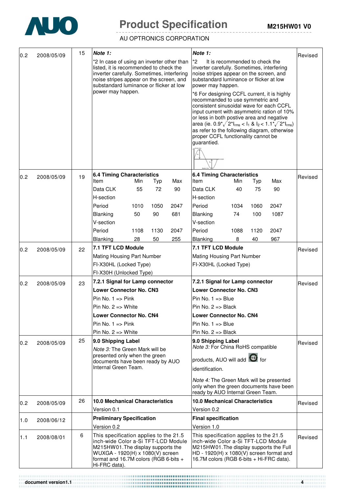

# **Product Specification** M215HW01 V0

AU OPTRONICS CORPORATION

|     | 2008/05/09 | 15 | Note 1:<br>Note 1:                                                                                                                                                                                                                                                                                                                                                                                                                                                                                                                                                                                                                                                                                                                                                                                                                                                                                                | Revised |
|-----|------------|----|-------------------------------------------------------------------------------------------------------------------------------------------------------------------------------------------------------------------------------------------------------------------------------------------------------------------------------------------------------------------------------------------------------------------------------------------------------------------------------------------------------------------------------------------------------------------------------------------------------------------------------------------------------------------------------------------------------------------------------------------------------------------------------------------------------------------------------------------------------------------------------------------------------------------|---------|
| 0.2 |            |    | *2<br>It is recommended to check the<br>*2 In case of using an inverter other than<br>listed, it is recommended to check the<br>inverter carefully. Sometimes, interfering<br>inverter carefully. Sometimes, interfering<br>noise stripes appear on the screen, and<br>noise stripes appear on the screen, and<br>substandard luminance or flicker at low<br>substandard luminance or flicker at low<br>power may happen.<br>power may happen.<br>*6 For designing CCFL current, it is highly<br>recommanded to use symmetric and<br>consistent sinusoidal wave for each CCFL<br>input current with asymmetric ration of 10%<br>or less in both postive area and negative<br>area (ie. $0.9^{\star}\sqrt{2}^{\star}$ I <sub>rms</sub> < I <sub>1</sub> & I <sub>2</sub> < $1.1^{\star}\sqrt{2}^{\star}$ I <sub>rms</sub> )<br>as refer to the following diagram, otherwise<br>proper CCFL functionality cannot be |         |
|     |            |    | guarantied.                                                                                                                                                                                                                                                                                                                                                                                                                                                                                                                                                                                                                                                                                                                                                                                                                                                                                                       |         |
| 0.2 | 2008/05/09 | 19 | <b>6.4 Timing Characteristics</b><br><b>6.4 Timing Characteristics</b><br>Min<br>Max<br>Item<br>Min<br>Max<br>Item<br>Typ<br>Typ<br>Data CLK<br>72<br>55<br>90<br>Data CLK<br>40<br>90<br>75                                                                                                                                                                                                                                                                                                                                                                                                                                                                                                                                                                                                                                                                                                                      | Revised |
|     |            |    | H-section<br>H-section<br>Period<br>1010<br>1050<br>2047<br>Period<br>1034<br>2047<br>1060<br>50<br>90<br>1087<br>681<br>Blanking<br>74<br>100<br>Blanking<br>V-section<br>V-section<br>Period<br>1130<br>Period<br>1108<br>2047<br>1088<br>1120<br>2047<br>967<br>Blanking<br>28<br>50<br>255<br>Blanking<br>8<br>40                                                                                                                                                                                                                                                                                                                                                                                                                                                                                                                                                                                             |         |
| 0.2 | 2008/05/09 | 22 | 7.1 TFT LCD Module<br>7.1 TFT LCD Module<br>Mating Housing Part Number<br>Mating Housing Part Number<br>FI-X30HL (Locked Type)<br>FI-X30HL (Locked Type)<br>FI-X30H (Unlocked Type)                                                                                                                                                                                                                                                                                                                                                                                                                                                                                                                                                                                                                                                                                                                               | Revised |
| 0.2 | 2008/05/09 | 23 | 7.2.1 Signal for Lamp connector<br>7.2.1 Signal for Lamp connector<br><b>Lower Connector No. CN3</b><br><b>Lower Connector No. CN3</b><br>Pin No. $1 \equiv$ Pink<br>Pin No. $1 \Rightarrow$ Blue<br>Pin No. $2 \Rightarrow$ White<br>Pin No. $2 \Rightarrow$ Black<br><b>Lower Connector No. CN4</b><br><b>Lower Connector No. CN4</b><br>Pin No. $1 \equiv$ Pink<br>$Pin No. 1 = > Blue$<br>Pin No. $2 \Rightarrow$ White<br>Pin No. $2 \Rightarrow$ Black                                                                                                                                                                                                                                                                                                                                                                                                                                                      | Revised |
| 0.2 | 2008/05/09 | 25 | 9.0 Shipping Label<br>9.0 Shipping Label<br>Note 3: For China RoHS compatible<br>Note 3: The Green Mark will be<br>presented only when the green<br>products, AUO will add <b>16</b> for<br>documents have been ready by AUO<br>Internal Green Team.<br>identification.<br>Note 4: The Green Mark will be presented<br>only when the green documents have been<br>ready by AUO Internal Green Team.                                                                                                                                                                                                                                                                                                                                                                                                                                                                                                               | Revised |
| 0.2 | 2008/05/09 | 26 | <b>10.0 Mechanical Characteristics</b><br><b>10.0 Mechanical Characteristics</b>                                                                                                                                                                                                                                                                                                                                                                                                                                                                                                                                                                                                                                                                                                                                                                                                                                  | Revised |
|     |            |    | Version 0.1<br>Version 0.2                                                                                                                                                                                                                                                                                                                                                                                                                                                                                                                                                                                                                                                                                                                                                                                                                                                                                        |         |
| 1.0 | 2008/06/12 |    | <b>Preliminary Specification</b><br><b>Final specification</b><br>Version 0.2<br>Version 1.0                                                                                                                                                                                                                                                                                                                                                                                                                                                                                                                                                                                                                                                                                                                                                                                                                      |         |
| 1.1 | 2008/08/01 | 6  | This specification applies to the 21.5<br>This specification applies to the 21.5<br>inch-wide Color a-Si TFT-LCD Module<br>inch-wide Color a-Si TFT-LCD Module<br>M215HW01. The display supports the<br>M215HW01. The display supports the Full<br>WUXGA - 1920(H) x 1080(V) screen<br>$HD - 1920(H) \times 1080(V)$ screen format and<br>format and 16.7M colors (RGB 6-bits +<br>16.7M colors (RGB 6-bits + Hi-FRC data).<br>Hi-FRC data).                                                                                                                                                                                                                                                                                                                                                                                                                                                                      | Revised |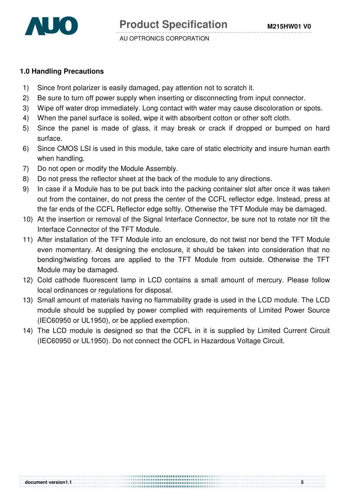

**document version1.1 5** 

#### **1.0 Handling Precautions**

- 1) Since front polarizer is easily damaged, pay attention not to scratch it.
- 2) Be sure to turn off power supply when inserting or disconnecting from input connector.
- 3) Wipe off water drop immediately. Long contact with water may cause discoloration or spots.
- 4) When the panel surface is soiled, wipe it with absorbent cotton or other soft cloth.
- 5) Since the panel is made of glass, it may break or crack if dropped or bumped on hard surface.
- 6) Since CMOS LSI is used in this module, take care of static electricity and insure human earth when handling.
- 7) Do not open or modify the Module Assembly.
- 8) Do not press the reflector sheet at the back of the module to any directions.
- 9) In case if a Module has to be put back into the packing container slot after once it was taken out from the container, do not press the center of the CCFL reflector edge. Instead, press at the far ends of the CCFL Reflector edge softly. Otherwise the TFT Module may be damaged.
- 10) At the insertion or removal of the Signal Interface Connector, be sure not to rotate nor tilt the Interface Connector of the TFT Module.
- 11) After installation of the TFT Module into an enclosure, do not twist nor bend the TFT Module even momentary. At designing the enclosure, it should be taken into consideration that no bending/twisting forces are applied to the TFT Module from outside. Otherwise the TFT Module may be damaged.
- 12) Cold cathode fluorescent lamp in LCD contains a small amount of mercury. Please follow local ordinances or regulations for disposal.
- 13) Small amount of materials having no flammability grade is used in the LCD module. The LCD module should be supplied by power complied with requirements of Limited Power Source (IEC60950 or UL1950), or be applied exemption.
- 14) The LCD module is designed so that the CCFL in it is supplied by Limited Current Circuit (IEC60950 or UL1950). Do not connect the CCFL in Hazardous Voltage Circuit.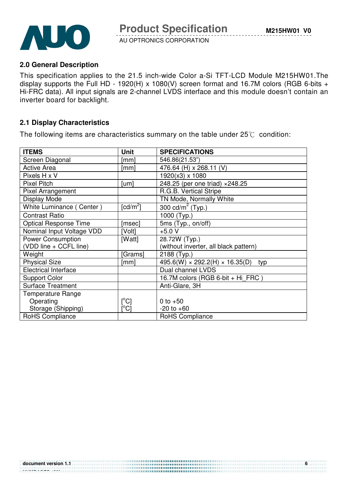



#### **2.0 General Description**

This specification applies to the 21.5 inch-wide Color a-Si TFT-LCD Module M215HW01.The display supports the Full HD - 1920(H) x 1080(V) screen format and 16.7M colors (RGB 6-bits + Hi-FRC data). All input signals are 2-channel LVDS interface and this module doesn't contain an inverter board for backlight.

#### **2.1 Display Characteristics**

The following items are characteristics summary on the table under  $25^{\circ}$  condition:

| <b>ITEMS</b>                 | <b>Unit</b>                | <b>SPECIFICATIONS</b>                             |
|------------------------------|----------------------------|---------------------------------------------------|
| Screen Diagonal              | [mm]                       | 546.86(21.53")                                    |
| <b>Active Area</b>           | [mm]                       | 476.64 (H) x 268.11 (V)                           |
| Pixels H x V                 |                            | 1920(x3) x 1080                                   |
| <b>Pixel Pitch</b>           | [um]                       | 248.25 (per one triad) × 248.25                   |
| Pixel Arrangement            |                            | R.G.B. Vertical Stripe                            |
| Display Mode                 |                            | TN Mode, Normally White                           |
| White Luminance (Center)     | $\lceil cd/m^2 \rceil$     | $\overline{300}$ cd/m <sup>2</sup> (Typ.)         |
| <b>Contrast Ratio</b>        |                            | 1000 (Typ.)                                       |
| <b>Optical Response Time</b> | [msec]                     | 5ms (Typ., on/off)                                |
| Nominal Input Voltage VDD    | [Volt]                     | $+5.0 V$                                          |
| <b>Power Consumption</b>     | [Watt]                     | 28.72W (Typ.)                                     |
| (VDD line + CCFL line)       |                            | (without inverter, all black pattern)             |
| Weight                       | [Grams]                    | 2188 (Typ.)                                       |
| <b>Physical Size</b>         | [mm]                       | $495.6(W) \times 292.2(H) \times 16.35(D)$<br>typ |
| <b>Electrical Interface</b>  |                            | Dual channel LVDS                                 |
| <b>Support Color</b>         |                            | 16.7M colors (RGB 6-bit + Hi FRC)                 |
| <b>Surface Treatment</b>     |                            | Anti-Glare, 3H                                    |
| <b>Temperature Range</b>     |                            |                                                   |
| Operating                    | [°C]                       | 0 to $+50$                                        |
| Storage (Shipping)           | $\mathop{\rm l}{\rm ^oCl}$ | $-20$ to $+60$                                    |
| RoHS Compliance              |                            | RoHS Compliance                                   |

................................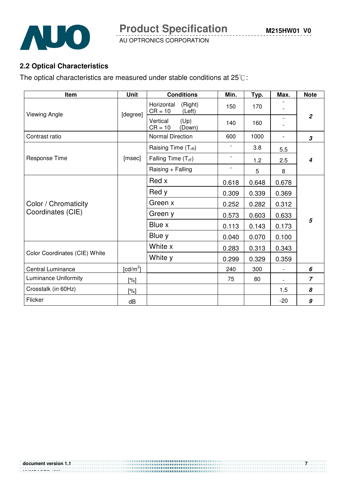

**Product Specification** 

AU OPTRONICS CORPORATION

## **2.2 Optical Characteristics**

The optical characteristics are measured under stable conditions at  $25^{\circ}$ C:

| Item                          | <b>Unit</b> | <b>Conditions</b>                            | Min.                         | Typ.  | Max.                     | <b>Note</b>                |
|-------------------------------|-------------|----------------------------------------------|------------------------------|-------|--------------------------|----------------------------|
| Viewing Angle                 | [degree]    | (Right)<br>Horizontal<br>$CR = 10$<br>(Left) | 150                          | 170   |                          |                            |
|                               |             | (Up)<br>Vertical<br>$CR = 10$<br>(Down)      | 140                          | 160   | $\overline{\phantom{a}}$ | $\overline{2}$             |
| Contrast ratio                |             | <b>Normal Direction</b>                      | 600                          | 1000  | $\overline{\phantom{a}}$ | $\boldsymbol{\mathcal{S}}$ |
|                               |             | Raising Time (T <sub>rR</sub> )              | $\qquad \qquad \blacksquare$ | 3.8   | 5.5                      |                            |
| Response Time                 | [msec]      | Falling Time $(T_{\text{rf}})$               | $\overline{\phantom{a}}$     | 1.2   | 2.5                      | 4                          |
|                               |             | Raising + Falling                            | $\overline{\phantom{0}}$     | 5     | 8                        |                            |
|                               |             | Red x                                        | 0.618                        | 0.648 | 0.678                    |                            |
|                               |             | Red y                                        | 0.309                        | 0.339 | 0.369                    |                            |
| Color / Chromaticity          |             | Green x                                      | 0.252                        | 0.282 | 0.312                    |                            |
| Coordinates (CIE)             |             | Green y                                      | 0.573                        | 0.603 | 0.633                    |                            |
|                               |             | Blue x                                       | 0.113                        | 0.143 | 0.173                    | 5                          |
|                               |             | Blue y                                       | 0.040                        | 0.070 | 0.100                    |                            |
|                               |             | White x                                      | 0.283                        | 0.313 | 0.343                    |                            |
| Color Coordinates (CIE) White |             | White y                                      | 0.299                        | 0.329 | 0.359                    |                            |
| <b>Central Luminance</b>      | [ $cd/m2$ ] |                                              | 240                          | 300   | $\overline{\phantom{a}}$ | 6                          |
| Luminance Uniformity          | [%]         |                                              | 75                           | 80    |                          | $\overline{7}$             |
| Crosstalk (in 60Hz)           | [%]         |                                              |                              |       | 1.5                      | 8                          |
| Flicker                       | dB          |                                              |                              |       | $-20$                    | $\pmb{g}$                  |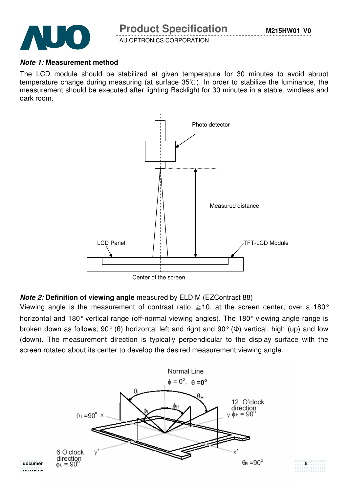

**NUMPAGES |29}**

AU OPTRONICS CORPORATION

#### **Note 1: Measurement method**

The LCD module should be stabilized at given temperature for 30 minutes to avoid abrupt temperature change during measuring (at surface  $35^{\circ}$ ). In order to stabilize the luminance, the measurement should be executed after lighting Backlight for 30 minutes in a stable, windless and dark room.



## **Note 2: Definition of viewing angle** measured by ELDIM (EZContrast 88)

Viewing angle is the measurement of contrast ratio  $\geq$  10, at the screen center, over a 180° horizontal and 180° vertical range (off-normal viewing angles). The 180° viewing angle range is broken down as follows; 90° (θ) horizontal left and right and 90° (Φ) vertical, high (up) and low (down). The measurement direction is typically perpendicular to the display surface with the screen rotated about its center to develop the desired measurement viewing angle.

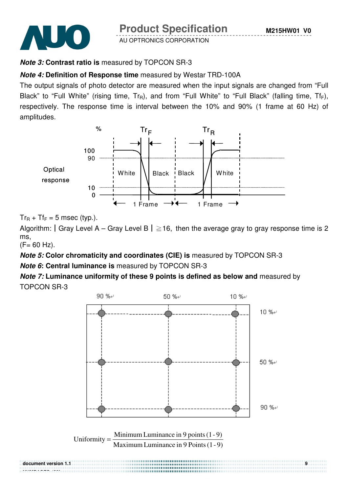



## **Note 3: Contrast ratio is** measured by TOPCON SR-3

## **Note 4: Definition of Response time** measured by Westar TRD-100A

The output signals of photo detector are measured when the input signals are changed from "Full Black" to "Full White" (rising time,  $Tr_R$ ), and from "Full White" to "Full Black" (falling time,  $Tr_F$ ), respectively. The response time is interval between the 10% and 90% (1 frame at 60 Hz) of amplitudes.



 $Tr_R$  +  $Tr_F$  = 5 msec (typ.).

Algorithm: | Gray Level A – Gray Level B |  $\geq$  16, then the average gray to gray response time is 2 ms,

 $(F = 60$  Hz).

**Note 5: Color chromaticity and coordinates (CIE) is** measured by TOPCON SR-3

**Note 6: Central luminance is** measured by TOPCON SR-3

**Note 7: Luminance uniformity of these 9 points is defined as below and** measured by TOPCON SR-3

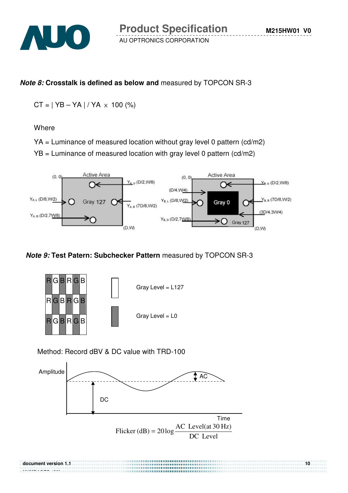

## **Note 8: Crosstalk is defined as below and** measured by TOPCON SR-3

 $CT = | YB - YA | / YA \times 100 (%)$ 

**Where** 

**NUMPAGES |29}**

- YA = Luminance of measured location without gray level 0 pattern (cd/m2)
- YB = Luminance of measured location with gray level 0 pattern (cd/m2)



## **Note 9: Test Patern: Subchecker Pattern** measured by TOPCON SR-3



Method: Record dBV & DC value with TRD-100



**document version 1.1** 10 **10**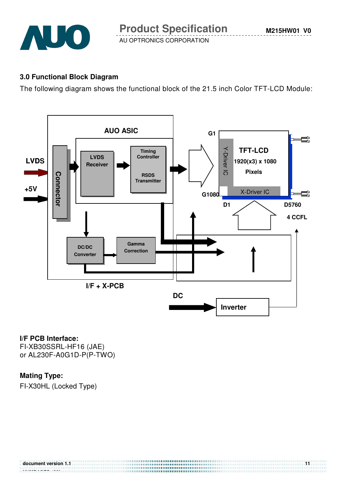

**M215HW01 V0**

AU OPTRONICS CORPORATION

## **3.0 Functional Block Diagram**

The following diagram shows the functional block of the 21.5 inch Color TFT-LCD Module:



#### **I/F PCB Interface:**

FI-XB30SSRL-HF16 (JAE) or AL230F-A0G1D-P(P-TWO)

## **Mating Type:**

FI-X30HL (Locked Type)

| document version 1.1 |  |
|----------------------|--|
|                      |  |
| . <del>. .</del>     |  |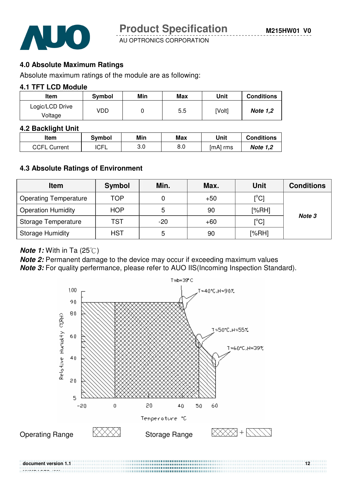

**M215HW01 V0**

AU OPTRONICS CORPORATION

## **4.0 Absolute Maximum Ratings**

Absolute maximum ratings of the module are as following:

#### **4.1 TFT LCD Module**

| <b>Item</b>                | Symbol | Min | Max | Unit   | <b>Conditions</b> |
|----------------------------|--------|-----|-----|--------|-------------------|
| Logic/LCD Drive<br>Voltage | VDD    |     | 5.5 | [Volt] | <b>Note 1,2</b>   |

#### **4.2 Backlight Unit**

| ltem                | Svmbol      | Min | Max | Unit     | <b>Conditions</b> |
|---------------------|-------------|-----|-----|----------|-------------------|
| <b>CCFL Current</b> | <b>ICFL</b> | 3.0 | 8.0 | [mA] rms | <b>Note 1,2</b>   |

## **4.3 Absolute Ratings of Environment**

| <b>Item</b>                  | Symbol     | Min.  | Max.  | <b>Unit</b>                  | <b>Conditions</b> |
|------------------------------|------------|-------|-------|------------------------------|-------------------|
| <b>Operating Temperature</b> | TOP        | 0     | $+50$ | $\mathsf{I}^\circ\mathsf{C}$ |                   |
| <b>Operation Humidity</b>    | <b>HOP</b> | 5     | 90    | [%RH]                        |                   |
| Storage Temperature          | TST        | $-20$ | $+60$ | $\mathop{\rm [^{\circ}Cl}$   | Note 3            |
| <b>Storage Humidity</b>      | <b>HST</b> | 5     | 90    | [%RH]                        |                   |

#### **Note 1:** With in Ta (25°C)

**Note 2:** Permanent damage to the device may occur if exceeding maximum values **Note 3:** For quality perfermance, please refer to AUO IIS(Incoming Inspection Standard).

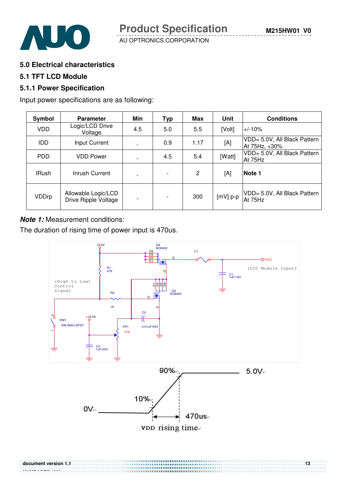

**5.0 Electrical characteristics** 

#### **5.1 TFT LCD Module**

#### **5.1.1 Power Specification**

Input power specifications are as following:

| Symbol       | <b>Parameter</b>                            | Min                      | Typ | Max            | Unit       | <b>Conditions</b>                             |
|--------------|---------------------------------------------|--------------------------|-----|----------------|------------|-----------------------------------------------|
| <b>VDD</b>   | Logic/LCD Drive<br>Voltage                  | 4.5                      | 5.0 | 5.5            | [Volt]     | l+/-10%                                       |
| <b>IDD</b>   | Input Current                               | $\blacksquare$           | 0.9 | 1.17           | [A]        | VDD= 5.0V, All Black Pattern<br>At 75Hz, +30% |
| <b>PDD</b>   | <b>VDD Power</b>                            | $\overline{\phantom{a}}$ | 4.5 | 5.4            | [Watt]     | VDD= 5.0V, All Black Pattern<br>At 75Hz       |
| <b>IRush</b> | Inrush Current                              | $\overline{\phantom{a}}$ |     | $\overline{2}$ | [A]        | Note 1                                        |
| VDDrp        | Allowable Logic/LCD<br>Drive Ripple Voltage | $\overline{a}$           |     | 300            | $[mV]$ p-p | VDD= 5.0V, All Black Pattern<br>At 75Hz       |

#### **Note 1:** Measurement conditions:

The duration of rising time of power input is 470us.

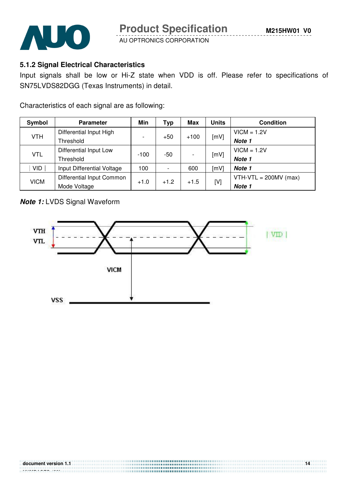

## **5.1.2 Signal Electrical Characteristics**

Input signals shall be low or Hi-Z state when VDD is off. Please refer to specifications of SN75LVDS82DGG (Texas Instruments) in detail.

Characteristics of each signal are as following:

| <b>Symbol</b>           | <b>Parameter</b>                                          |                          | Typ   | Max    | Units | <b>Condition</b>        |
|-------------------------|-----------------------------------------------------------|--------------------------|-------|--------|-------|-------------------------|
| Differential Input High |                                                           |                          | $+50$ |        |       | $VICM = 1.2V$           |
| <b>VTH</b>              | Threshold                                                 | $\overline{\phantom{a}}$ |       | $+100$ | [mV]  | Note 1                  |
| <b>VTL</b>              | Differential Input Low                                    |                          | $-50$ |        |       | $VICM = 1.2V$           |
|                         | Threshold                                                 | $-100$                   |       |        | [mV]  | Note 1                  |
| <b>VID</b>              | Input Differential Voltage                                | 100                      |       | 600    | [mV]  | Note 1                  |
|                         | Differential Input Common                                 |                          |       |        |       | $VTH-VTL = 200MV (max)$ |
|                         | <b>VICM</b><br>$+1.2$<br>$+1.0$<br>$+1.5$<br>Mode Voltage |                          | [V]   | Note 1 |       |                         |

## **Note 1:** LVDS Signal Waveform

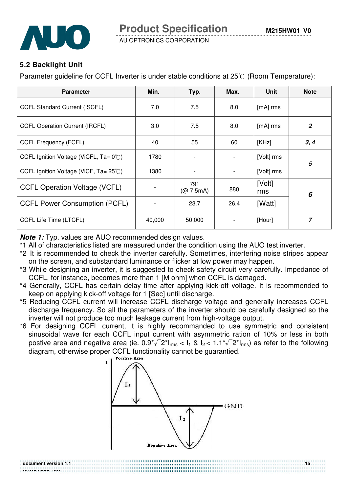

## **5.2 Backlight Unit**

Parameter quideline for CCFL Inverter is under stable conditions at  $25^{\circ}$  (Room Temperature):

| <b>Parameter</b>                                  | Min.   | Typ.                                      | Max. | Unit          | <b>Note</b>    |
|---------------------------------------------------|--------|-------------------------------------------|------|---------------|----------------|
| <b>CCFL Standard Current (ISCFL)</b>              | 7.0    | 7.5                                       | 8.0  | [mA] rms      |                |
| <b>CCFL Operation Current (IRCFL)</b>             | 3.0    | 7.5                                       | 8.0  | $[mA]$ rms    | $\overline{2}$ |
| <b>CCFL Frequency (FCFL)</b>                      | 40     | 55                                        | 60   | [KHz]         | 3, 4           |
| CCFL Ignition Voltage (ViCFL, $Ta = 0^{\circ}C$ ) | 1780   | $\overline{\phantom{a}}$                  |      | [Volt] rms    | 5              |
| CCFL Ignition Voltage (ViCF, $Ta = 25^{\circ}$ C) | 1380   |                                           |      | [Volt] rms    |                |
| <b>CCFL Operation Voltage (VCFL)</b>              |        | 791<br>$(Q\!\!\!\!\!O\!\!\!\!\!C\!7.5mA)$ | 880  | [Volt]<br>rms | 6              |
| <b>CCFL Power Consumption (PCFL)</b>              |        | 23.7                                      | 26.4 | [Watt]        |                |
| CCFL Life Time (LTCFL)                            | 40,000 | 50,000                                    |      | [Hour]        | $\overline{z}$ |

**Note 1:** Typ. values are AUO recommended design values.

\*1 All of characteristics listed are measured under the condition using the AUO test inverter.

- \*2 It is recommended to check the inverter carefully. Sometimes, interfering noise stripes appear on the screen, and substandard luminance or flicker at low power may happen.
- \*3 While designing an inverter, it is suggested to check safety circuit very carefully. Impedance of CCFL, for instance, becomes more than 1 [M ohm] when CCFL is damaged.
- \*4 Generally, CCFL has certain delay time after applying kick-off voltage. It is recommended to keep on applying kick-off voltage for 1 [Sec] until discharge.
- \*5 Reducing CCFL current will increase CCFL discharge voltage and generally increases CCFL discharge frequency. So all the parameters of the inverter should be carefully designed so the inverter will not produce too much leakage current from high-voltage output.
- \*6 For designing CCFL current, it is highly recommanded to use symmetric and consistent sinusoidal wave for each CCFL input current with asymmetric ration of 10% or less in both postive area and negative area (ie.  $0.9^{\circ}\sqrt{2}$ \* $I_{rms}$  <  $I_1$  &  $I_2$  <  $1.1^{\circ}\sqrt{2}$ \* $I_{rms}$ ) as refer to the following diagram, otherwise proper CCFL functionality cannot be guarantied.

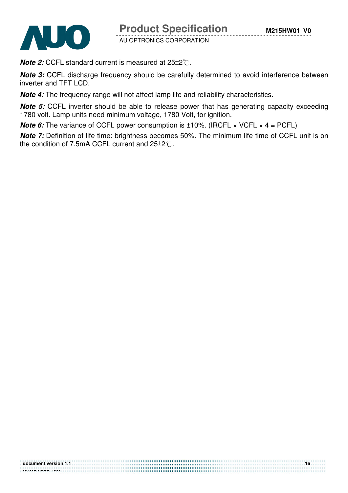

**Product Specification** 

AU OPTRONICS CORPORATION

**Note 2:** CCFL standard current is measured at  $25\pm2^{\circ}$ .

**Note 3:** CCFL discharge frequency should be carefully determined to avoid interference between inverter and TFT LCD.

**Note 4:** The frequency range will not affect lamp life and reliability characteristics.

**Note 5:** CCFL inverter should be able to release power that has generating capacity exceeding 1780 volt. Lamp units need minimum voltage, 1780 Volt, for ignition.

**Note 6:** The variance of CCFL power consumption is  $\pm 10\%$ . (IRCFL  $\times$  VCFL  $\times$  4 = PCFL)

**Note 7:** Definition of life time: brightness becomes 50%. The minimum life time of CCFL unit is on the condition of 7.5mA CCFL current and  $25\pm2^{\circ}$ .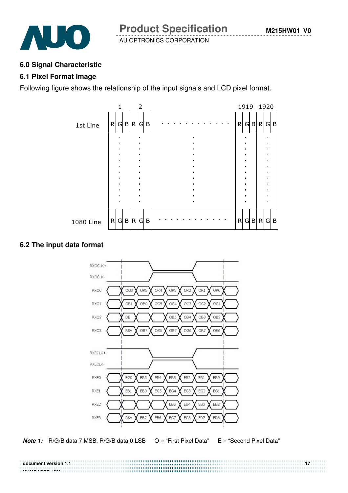

#### **6.0 Signal Characteristic**

#### **6.1 Pixel Format Image**

Following figure shows the relationship of the input signals and LCD pixel format.



## **6.2 The input data format**



**Note 1:** R/G/B data 7:MSB, R/G/B data 0:LSB  $O = "First~Pixel~Data"$   $E = "Second~Pixel~Data"$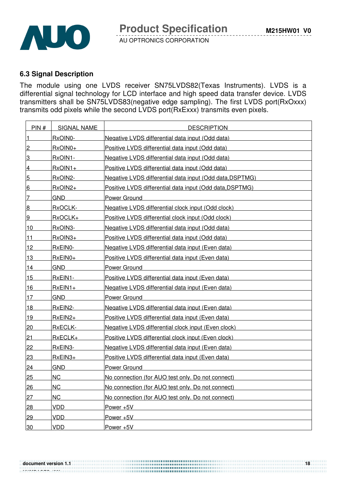

## **6.3 Signal Description**

The module using one LVDS receiver SN75LVDS82(Texas Instruments). LVDS is a differential signal technology for LCD interface and high speed data transfer device. LVDS transmitters shall be SN75LVDS83(negative edge sampling). The first LVDS port(RxOxxx) transmits odd pixels while the second LVDS port(RxExxx) transmits even pixels.

| PIN#            | <b>SIGNAL NAME</b> | <b>DESCRIPTION</b>                                       |
|-----------------|--------------------|----------------------------------------------------------|
| $\vert$ 1       | RxOIN0-            | Negative LVDS differential data input (Odd data)         |
| $\overline{2}$  | RxOIN0+            | Positive LVDS differential data input (Odd data)         |
| 3               | RxOIN1-            | Negative LVDS differential data input (Odd data)         |
| $\overline{4}$  | $RxOIN1+$          | Positive LVDS differential data input (Odd data)         |
| $5\overline{)}$ | RxOIN2-            | Negative LVDS differential data input (Odd data, DSPTMG) |
| 6               | $RxOIN2+$          | Positive LVDS differential data input (Odd data, DSPTMG) |
| 7               | <b>GND</b>         | <b>Power Ground</b>                                      |
| 8               | RxOCLK-            | Negative LVDS differential clock input (Odd clock)       |
| 9               | RxOCLK+            | Positive LVDS differential clock input (Odd clock)       |
| 10              | RxOIN3-            | Negative LVDS differential data input (Odd data)         |
| <u>11</u>       | RxOIN3+            | Positive LVDS differential data input (Odd data)         |
| 12              | RxEIN0-            | Negative LVDS differential data input (Even data)        |
| 13              | $RxEINO+$          | Positive LVDS differential data input (Even data)        |
| 14              | <b>GND</b>         | <b>Power Ground</b>                                      |
| 15              | RxEIN1-            | Positive LVDS differential data input (Even data)        |
| 16              | $RxEIN1+$          | Negative LVDS differential data input (Even data)        |
| 17              | <b>GND</b>         | Power Ground                                             |
| <u> 18</u>      | RxEIN2-            | Negative LVDS differential data input (Even data)        |
| 19              | RxEIN2+            | Positive LVDS differential data input (Even data)        |
| 20              | <u>RxECLK-</u>     | Negative LVDS differential clock input (Even clock)      |
| 21              | RxECLK+            | Positive LVDS differential clock input (Even clock)      |
| 22              | RxEIN3-            | Negative LVDS differential data input (Even data)        |
| 23              | $RxEIN3+$          | Positive LVDS differential data input (Even data)        |
| 24              | <b>GND</b>         | Power Ground                                             |
| 25              | <b>NC</b>          | No connection (for AUO test only. Do not connect)        |
| 26              | <b>NC</b>          | No connection (for AUO test only. Do not connect)        |
| 27              | <b>NC</b>          | No connection (for AUO test only. Do not connect)        |
| 28              | <b>VDD</b>         | Power +5V                                                |
| 29              | <b>VDD</b>         | Power +5V                                                |
| 30              | <b>VDD</b>         | Power +5V                                                |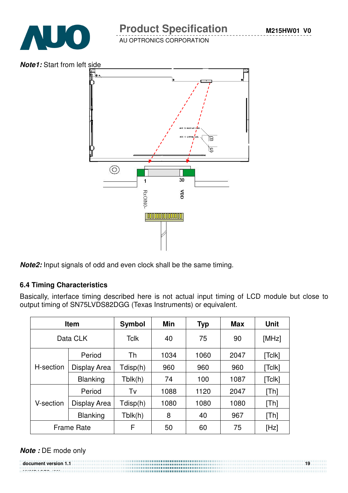## **Product Specification**

AU OPTRONICS CORPORATION



**Note2:** Input signals of odd and even clock shall be the same timing.

## **6.4 Timing Characteristics**

Basically, interface timing described here is not actual input timing of LCD module but close to output timing of SN75LVDS82DGG (Texas Instruments) or equivalent.

| <b>Item</b>       |                 | Symbol      | <b>Min</b> | <b>Typ</b> | <b>Max</b> | <b>Unit</b> |
|-------------------|-----------------|-------------|------------|------------|------------|-------------|
| Data CLK          |                 | <b>Tclk</b> | 40         | 75         | 90         | [MHz]       |
|                   | Period          |             | 1034       | 1060       | 2047       | [Tclk]      |
| H-section         | Display Area    | Tdisp(h)    | 960        | 960        | 960        | [Tclk]      |
|                   | <b>Blanking</b> | Tblk(h)     | 74         | 100        | 1087       | [Tclk]      |
| Period            |                 | Tv          | 1088       | 1120       | 2047       | [Th]        |
| V-section         | Display Area    | Tdisp(h)    | 1080       | 1080       | 1080       | [Th]        |
|                   | <b>Blanking</b> | Tblk(h)     | 8          | 40         | 967        | [Th]        |
| <b>Frame Rate</b> |                 | F           | 50         | 60         | 75         | [Hz]        |

**document version 1.1 19** 

## **Note :** DE mode only

**NUMPAGES |29}**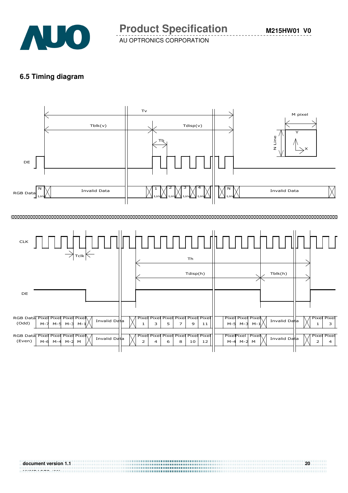

#### **6.5 Timing diagram**

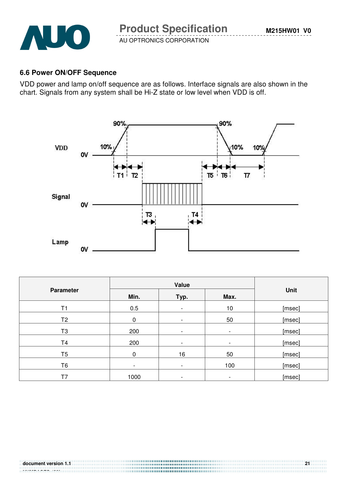

## **6.6 Power ON/OFF Sequence**

VDD power and lamp on/off sequence are as follows. Interface signals are also shown in the chart. Signals from any system shall be Hi-Z state or low level when VDD is off.



| <b>Parameter</b> |                          | Value                    |      |        |  |
|------------------|--------------------------|--------------------------|------|--------|--|
|                  | Min.                     | Typ.                     | Max. | Unit   |  |
| T1               | 0.5                      | $\overline{\phantom{a}}$ | 10   | [msec] |  |
| T <sub>2</sub>   | $\mathbf 0$              | $\overline{\phantom{a}}$ | 50   | [msec] |  |
| T <sub>3</sub>   | 200                      | $\overline{\phantom{a}}$ | -    | [msec] |  |
| T <sub>4</sub>   | 200                      | $\overline{\phantom{a}}$ | -    | [msec] |  |
| T <sub>5</sub>   | $\mathbf 0$              | 16                       | 50   | [msec] |  |
| T <sub>6</sub>   | $\overline{\phantom{0}}$ | $\overline{\phantom{a}}$ | 100  | [msec] |  |
| T7               | 1000                     | $\overline{\phantom{a}}$ | -    | [msec] |  |

................................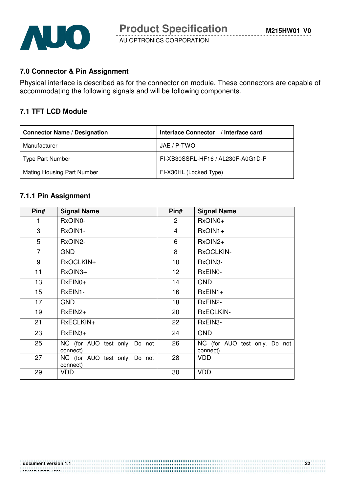

## **7.0 Connector & Pin Assignment**

Physical interface is described as for the connector on module. These connectors are capable of accommodating the following signals and will be following components.

#### **7.1 TFT LCD Module**

| <b>Connector Name / Designation</b> | Interface Connector / Interface card |
|-------------------------------------|--------------------------------------|
| Manufacturer                        | JAE / P-TWO                          |
| Type Part Number                    | FI-XB30SSRL-HF16 / AL230F-A0G1D-P    |
| Mating Housing Part Number          | FI-X30HL (Locked Type)               |

#### **7.1.1 Pin Assignment**

| Pin#             | <b>Signal Name</b>                        | Pin#            | <b>Signal Name</b>                        |  |  |
|------------------|-------------------------------------------|-----------------|-------------------------------------------|--|--|
| 1                | RxOIN0-                                   | $\overline{2}$  | RxOIN0+                                   |  |  |
| 3                | RxOIN1-                                   | $\overline{4}$  | $RxOIN1+$                                 |  |  |
| 5                | RxOIN2-                                   | 6               | RxOIN2+                                   |  |  |
| $\overline{7}$   | <b>GND</b>                                | 8               | RxOCLKIN-                                 |  |  |
| 9                | RxOCLKIN+                                 | 10              | RxOIN3-                                   |  |  |
| 11               | RxOIN3+                                   | 12 <sub>2</sub> | RxEIN0-                                   |  |  |
| 13               | $RxEINO+$                                 | 14              | <b>GND</b>                                |  |  |
| 15 <sub>15</sub> | RxEIN1-                                   | 16              | $RxEIN1+$                                 |  |  |
| 17               | <b>GND</b>                                | 18              | RxEIN2-                                   |  |  |
| 19               | $RxEIN2+$                                 | 20              | <b>RxECLKIN-</b>                          |  |  |
| 21               | RxECLKIN+                                 | 22              | RxEIN3-                                   |  |  |
| 23               | $RxEIN3+$                                 | 24              | <b>GND</b>                                |  |  |
| 25               | NC (for AUO test only. Do not<br>connect) | 26              | NC (for AUO test only. Do not<br>connect) |  |  |
| 27               | NC (for AUO test only. Do not<br>connect) | 28              | VDD                                       |  |  |
| 29               | <b>VDD</b>                                | 30              | <b>VDD</b>                                |  |  |

#### **document version 1.1 22 NUMPAGES |29}**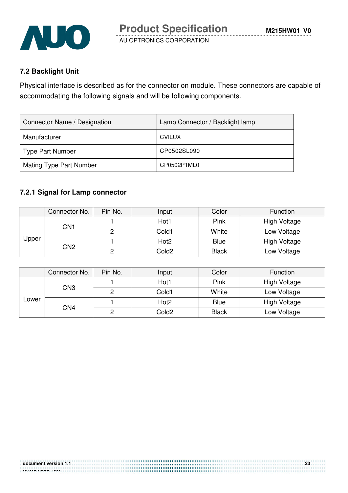

## **7.2 Backlight Unit**

Physical interface is described as for the connector on module. These connectors are capable of accommodating the following signals and will be following components.

| Connector Name / Designation | Lamp Connector / Backlight lamp |
|------------------------------|---------------------------------|
| Manufacturer                 | <b>CVILUX</b>                   |
| <b>Type Part Number</b>      | CP0502SL090                     |
| Mating Type Part Number      | CP0502P1ML0                     |

## **7.2.1 Signal for Lamp connector**

|       | Connector No.   | Pin No.         | Input            | Color             | Function            |             |
|-------|-----------------|-----------------|------------------|-------------------|---------------------|-------------|
|       | CN <sub>1</sub> |                 | Hot1             | Pink              | High Voltage        |             |
|       |                 | റ               | Cold1            | White             | Low Voltage         |             |
| Upper |                 |                 | Hot <sub>2</sub> | <b>Blue</b>       | <b>High Voltage</b> |             |
|       |                 | CN <sub>2</sub> | C                | Cold <sub>2</sub> | <b>Black</b>        | Low Voltage |

|       | Connector No. | Pin No. | Input             | Color        | <b>Function</b> |
|-------|---------------|---------|-------------------|--------------|-----------------|
|       | CN3           |         | Hot1              | Pink         | High Voltage    |
|       |               |         | Cold1             | White        | Low Voltage     |
| ∟ower |               |         | Hot <sub>2</sub>  | <b>Blue</b>  | High Voltage    |
|       | CN4           |         | Cold <sub>2</sub> | <b>Black</b> | Low Voltage     |

................................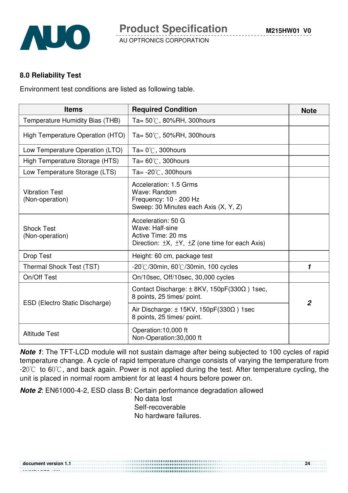

### **8.0 Reliability Test**

Environment test conditions are listed as following table.

| <b>Items</b>                             | <b>Required Condition</b>                                                                                                      | <b>Note</b>    |
|------------------------------------------|--------------------------------------------------------------------------------------------------------------------------------|----------------|
| Temperature Humidity Bias (THB)          | Ta= $50^{\circ}$ C, 80%RH, 300 hours                                                                                           |                |
| High Temperature Operation (HTO)         | Ta= $50^{\circ}$ C, 50%RH, 300 hours                                                                                           |                |
| Low Temperature Operation (LTO)          | Ta= $0^{\circ}$ C, 300 hours                                                                                                   |                |
| High Temperature Storage (HTS)           | Ta= $60^{\circ}$ C, 300 hours                                                                                                  |                |
| Low Temperature Storage (LTS)            | Ta= $-20^{\circ}$ C, 300 hours                                                                                                 |                |
| <b>Vibration Test</b><br>(Non-operation) | Acceleration: 1.5 Grms<br>Wave: Random<br>Frequency: 10 - 200 Hz<br>Sweep: 30 Minutes each Axis (X, Y, Z)                      |                |
| <b>Shock Test</b><br>(Non-operation)     | Acceleration: 50 G<br>Wave: Half-sine<br>Active Time: 20 ms<br>Direction: $\pm X$ , $\pm Y$ , $\pm Z$ (one time for each Axis) |                |
| <b>Drop Test</b>                         | Height: 60 cm, package test                                                                                                    |                |
| Thermal Shock Test (TST)                 | $-20^{\circ}$ /30min, 60 $^{\circ}$ /30min, 100 cycles                                                                         | 1              |
| On/Off Test                              | On/10sec, Off/10sec, 30,000 cycles                                                                                             |                |
| ESD (Electro Static Discharge)           | Contact Discharge: $\pm$ 8KV, 150pF(330 $\Omega$ ) 1sec,<br>8 points, 25 times/ point.                                         | $\overline{2}$ |
|                                          | Air Discharge: $\pm$ 15KV, 150pF(330 $\Omega$ ) 1sec<br>8 points, 25 times/ point.                                             |                |
| <b>Altitude Test</b>                     | Operation:10,000 ft<br>Non-Operation:30,000 ft                                                                                 |                |

**Note 1**: The TFT-LCD module will not sustain damage after being subjected to 100 cycles of rapid temperature change. A cycle of rapid temperature change consists of varying the temperature from  $-20^{\circ}$  to 60 $^{\circ}$ C, and back again. Power is not applied during the test. After temperature cycling, the unit is placed in normal room ambient for at least 4 hours before power on.

**Note 2**: EN61000-4-2, ESD class B: Certain performance degradation allowed

No data lost Self-recoverable No hardware failures.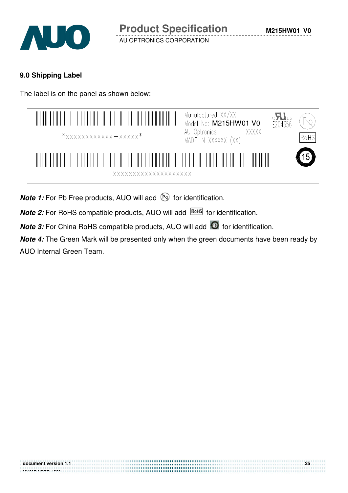

## **9.0 Shipping Label**

The label is on the panel as shown below:

| $*$ xxxxxxxxxxxx - xxxxx $*$                                           | Manufactured XX/XX<br>Model No: M215HW01 V0<br>$c$ <b>A</b><br>E204356<br>XXXXX<br>AU Optronics<br>RoHS<br>MADE IN XXXXXX (XX) |
|------------------------------------------------------------------------|--------------------------------------------------------------------------------------------------------------------------------|
| $\mathbb{H}$<br>$\blacksquare$<br>$\mathbb{R}$<br>XXXXXXXXXXXXXXXXXXXX |                                                                                                                                |

**Note 1:** For Pb Free products, AUO will add **but for identification**.

**Note 2:** For RoHS compatible products, AUO will add **ROHS** for identification.

**Note 3:** For China RoHS compatible products, AUO will add **6** for identification.

**Note 4:** The Green Mark will be presented only when the green documents have been ready by AUO Internal Green Team.

..........................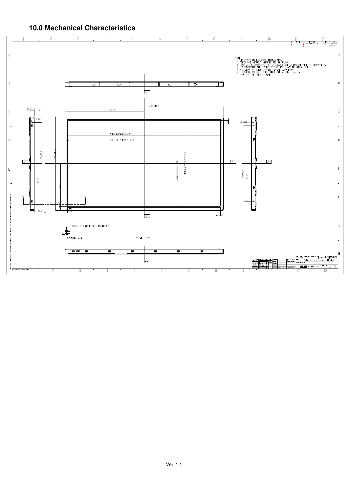